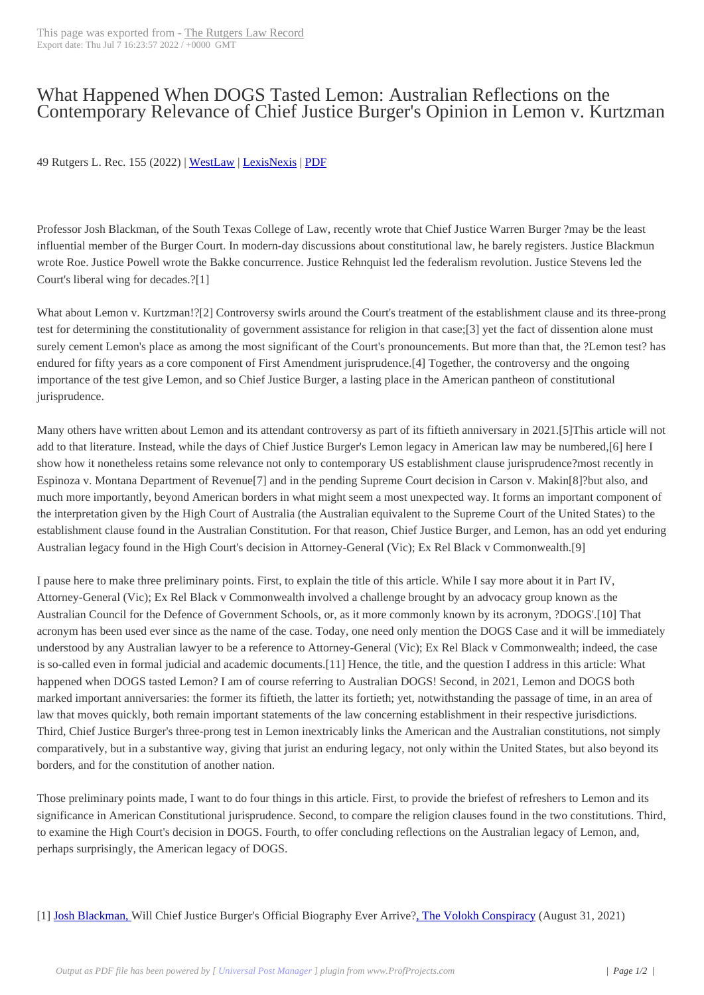## What Happened W[hen DOGS Taste](https://lawrecord.com/?p=1970)d Lemon: Australian Reflections on the Contemporary Relevance of Chief Justice Burger's Opinion in Lemon v. Kurtzman

49 Rutgers L. Rec. 155 (2022) | WestLaw | LexisNexis | PDF

Professor Josh Blackman, of th[e South Te](http://www.westlaw.com/find/default.wl?cite=49+Rutgers+L.+Rec.+155&FindType=F&ForceAction=Y&SV=Full&RS=ITK3.0&VR=1.0)x[as College o](http://www.lexis.com/xlink?showcidslinks=on&ORIGINATION_CODE=00142&searchtype=get&search=49 Rutgers L. Rec. 155)f [Law](http://lawrecord.com/files/49_Rutgers_L_Rec_155.pdf), recently wrote that Chief Justice Warren Burger ?may be the least influential member of the Burger Court. In modern-day discussions about constitutional law, he barely registers. Justice Blackmun wrote Roe. Justice Powell wrote the Bakke concurrence. Justice Rehnquist led the federalism revolution. Justice Stevens led the Court's liberal wing for decades.?[1]

What about Lemon v. Kurtzman!?[2] Controversy swirls around the Court's treatment of the establishment clause and its three-prong test for determining the constitutionality of government assistance for religion in that case;[3] yet the fact of dissention alone must surely cement Lemon's place as among the most significant of the Court's pronouncements. But more than that, the ?Lemon test? has endured for fifty years as a core component of First Amendment jurisprudence.[4] Together, the controversy and the ongoing importance of the test give Lemon, and so Chief Justice Burger, a lasting place in the American pantheon of constitutional jurisprudence.

Many others have written about Lemon and its attendant controversy as part of its fiftieth anniversary in 2021.[5]This article will not add to that literature. Instead, while the days of Chief Justice Burger's Lemon legacy in American law may be numbered,[6] here I show how it nonetheless retains some relevance not only to contemporary US establishment clause jurisprudence?most recently in Espinoza v. Montana Department of Revenue[7] and in the pending Supreme Court decision in Carson v. Makin[8]?but also, and much more importantly, beyond American borders in what might seem a most unexpected way. It forms an important component of the interpretation given by the High Court of Australia (the Australian equivalent to the Supreme Court of the United States) to the establishment clause found in the Australian Constitution. For that reason, Chief Justice Burger, and Lemon, has an odd yet enduring Australian legacy found in the High Court's decision in Attorney-General (Vic); Ex Rel Black v Commonwealth.[9]

I pause here to make three preliminary points. First, to explain the title of this article. While I say more about it in Part IV, Attorney-General (Vic); Ex Rel Black v Commonwealth involved a challenge brought by an advocacy group known as the Australian Council for the Defence of Government Schools, or, as it more commonly known by its acronym, ?DOGS'.[10] That acronym has been used ever since as the name of the case. Today, one need only mention the DOGS Case and it will be immediately understood by any Australian lawyer to be a reference to Attorney-General (Vic); Ex Rel Black v Commonwealth; indeed, the case is so-called even in formal judicial and academic documents.[11] Hence, the title, and the question I address in this article: What happened when DOGS tasted Lemon? I am of course referring to Australian DOGS! Second, in 2021, Lemon and DOGS both marked important anniversaries: the former its fiftieth, the latter its fortieth; yet, notwithstanding the passage of time, in an area of law that moves quickly, both remain important statements of the law concerning establishment in their respective jurisdictions. Third, Chief Justice Burger's three-prong test in Lemon inextricably links the American and the Australian constitutions, not simply comparatively, but in a substantive way, giving that jurist an enduring legacy, not only within the United States, but also beyond its borders, and for the constitution of another nation.

Those preliminary points made, I want to do four things in this article. First, to provide the briefest of refreshers to Lemon and its significance in American Constitutional jurisprudence. Second, to compare the religion clauses found in the two constitutions. Third, to examine the High Court's decision in DOGS. Fourth, to offer concluding reflections on the Australian legacy of Lemon, and, perhaps surprisingly, the American legacy of DOGS.

[1] Josh Blackman, Will Chief Justice Burger's Official Biography Ever Arrive?, The Volokh Conspiracy (August 31, 2021)